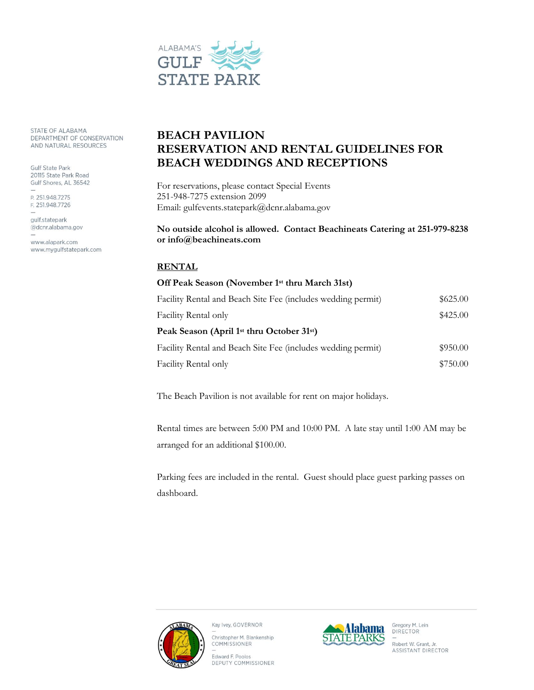

STATE OF ALABAMA DEPARTMENT OF CONSERVATION AND NATURAL RESOURCES

Gulf State Park 20115 State Park Road Gulf Shores, AL 36542

P. 251.948.7275 F. 251.948.7726

gulf.statepark @dcnr.alabama.gov

www.alapark.com www.mygulfstatepark.com

# **BEACH PAVILION RESERVATION AND RENTAL GUIDELINES FOR BEACH WEDDINGS AND RECEPTIONS**

For reservations, please contact Special Events 251-948-7275 extension 2099 Email: gulfevents.statepark@dcnr.alabama.gov

### **No outside alcohol is allowed. Contact Beachineats Catering at 251-979-8238 or info@beachineats.com**

## **RENTAL**

## **Off Peak Season (November 1st thru March 31st)**

| Facility Rental and Beach Site Fee (includes wedding permit)       | \$625.00 |
|--------------------------------------------------------------------|----------|
| Facility Rental only                                               | \$425.00 |
| Peak Season (April 1 <sup>st</sup> thru October 31 <sup>st</sup> ) |          |
| Facility Rental and Beach Site Fee (includes wedding permit)       | \$950.00 |
| Facility Rental only                                               | \$750.00 |

The Beach Pavilion is not available for rent on major holidays.

Rental times are between 5:00 PM and 10:00 PM. A late stay until 1:00 AM may be arranged for an additional \$100.00.

Parking fees are included in the rental. Guest should place guest parking passes on dashboard.



Kay Ivey, GOVERNOR

Christopher M. Blankenship COMMISSIONER

Edward F. Poolos DEPUTY COMMISSIONER



Gregory M. Lein<br>DIRECTOR Robert W. Grant, Jr. ASSISTANT DIRECTOR